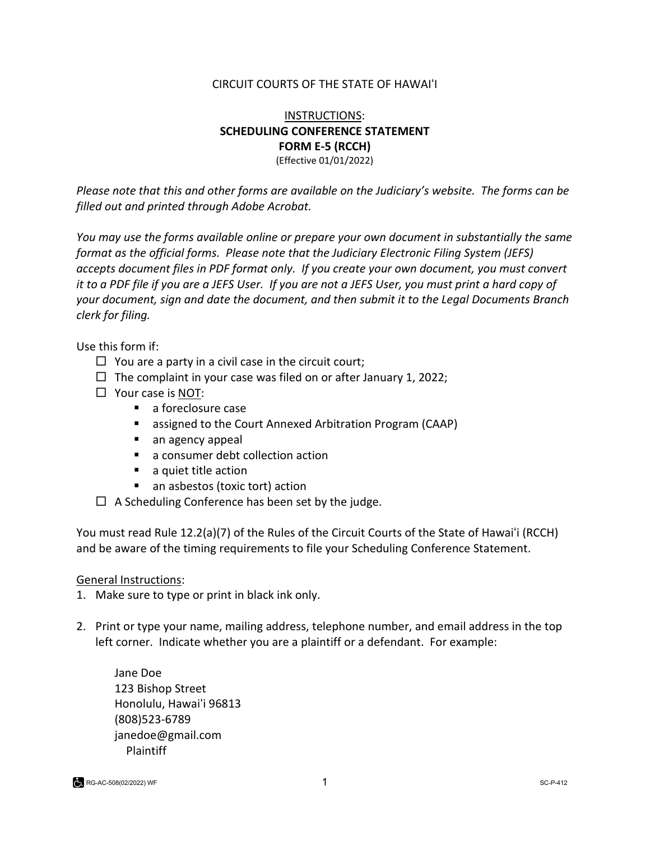#### CIRCUIT COURTS OF THE STATE OF HAWAIʻI

#### INSTRUCTIONS: **SCHEDULING CONFERENCE STATEMENT FORM E-5 (RCCH)** (Effective 01/01/2022)

*Please note that this and other forms are available on the Judiciary's website. The forms can be filled out and printed through Adobe Acrobat.* 

*You may use the forms available online or prepare your own document in substantially the same format as the official forms. Please note that the Judiciary Electronic Filing System (JEFS) accepts document files in PDF format only. If you create your own document, you must convert it to a PDF file if you are a JEFS User. If you are not a JEFS User, you must print a hard copy of your document, sign and date the document, and then submit it to the Legal Documents Branch clerk for filing.* 

Use this form if:

- $\Box$  You are a party in a civil case in the circuit court;
- $\Box$  The complaint in your case was filed on or after January 1, 2022;
- $\Box$  Your case is NOT:
	- **a** foreclosure case
	- assigned to the Court Annexed Arbitration Program (CAAP)
	- an agency appeal
	- a consumer debt collection action
	- a quiet title action
	- an asbestos (toxic tort) action
- $\Box$  A Scheduling Conference has been set by the judge.

You must read Rule 12.2(a)(7) of the Rules of the Circuit Courts of the State of Hawaiʻi (RCCH) and be aware of the timing requirements to file your Scheduling Conference Statement.

#### General Instructions:

- 1. Make sure to type or print in black ink only.
- 2. Print or type your name, mailing address, telephone number, and email address in the top left corner. Indicate whether you are a plaintiff or a defendant. For example:

Jane Doe 123 Bishop Street Honolulu, Hawaiʻi 96813 (808)523-6789 [janedoe@gmail.com](mailto:janedoe@gmail.com) Plaintiff

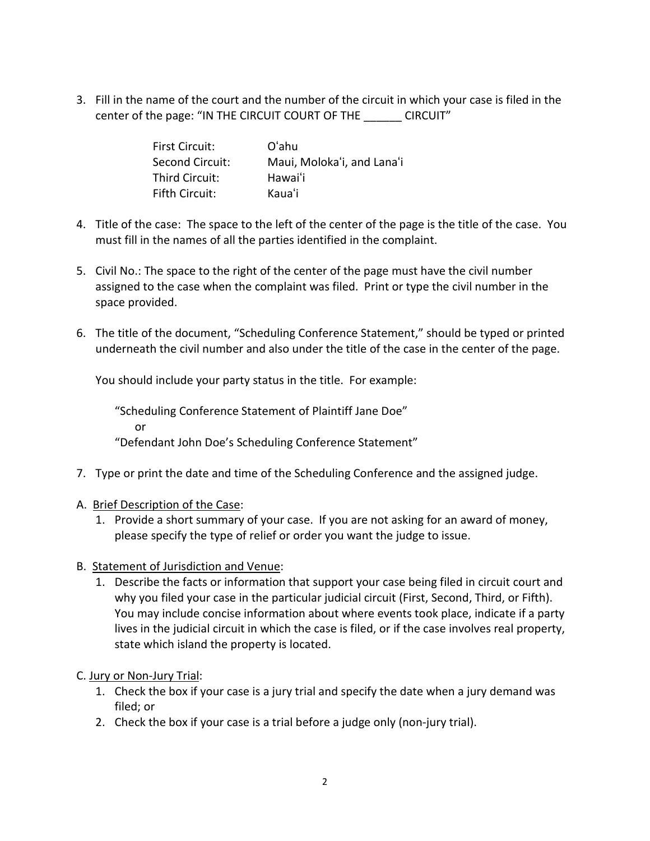3. Fill in the name of the court and the number of the circuit in which your case is filed in the center of the page: "IN THE CIRCUIT COURT OF THE \_\_\_\_\_\_ CIRCUIT"

| <b>First Circuit:</b> | O'ahu                      |
|-----------------------|----------------------------|
| Second Circuit:       | Maui, Moloka'i, and Lana'i |
| Third Circuit:        | Hawaiʻi                    |
| <b>Fifth Circuit:</b> | Kauaʻi                     |

- 4. Title of the case: The space to the left of the center of the page is the title of the case. You must fill in the names of all the parties identified in the complaint.
- 5. Civil No.: The space to the right of the center of the page must have the civil number assigned to the case when the complaint was filed. Print or type the civil number in the space provided.
- 6. The title of the document, "Scheduling Conference Statement," should be typed or printed underneath the civil number and also under the title of the case in the center of the page.

You should include your party status in the title. For example:

"Scheduling Conference Statement of Plaintiff Jane Doe" or "Defendant John Doe's Scheduling Conference Statement"

- 7. Type or print the date and time of the Scheduling Conference and the assigned judge.
- A. Brief Description of the Case:
	- 1. Provide a short summary of your case. If you are not asking for an award of money, please specify the type of relief or order you want the judge to issue.
- B. Statement of Jurisdiction and Venue:
	- 1. Describe the facts or information that support your case being filed in circuit court and why you filed your case in the particular judicial circuit (First, Second, Third, or Fifth). You may include concise information about where events took place, indicate if a party lives in the judicial circuit in which the case is filed, or if the case involves real property, state which island the property is located.

C. Jury or Non-Jury Trial:

- 1. Check the box if your case is a jury trial and specify the date when a jury demand was filed; or
- 2. Check the box if your case is a trial before a judge only (non-jury trial).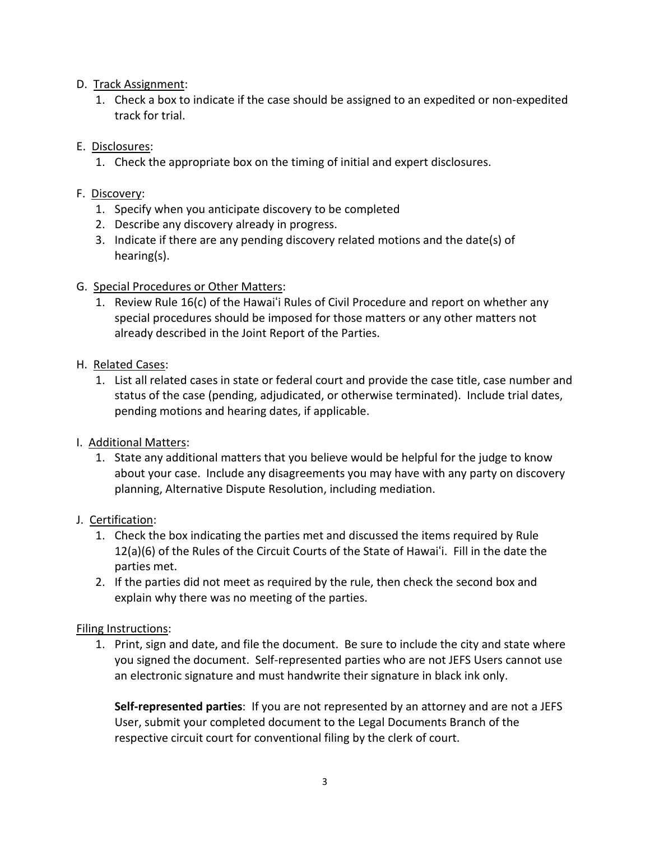#### D. Track Assignment:

1. Check a box to indicate if the case should be assigned to an expedited or non-expedited track for trial.

# E. Disclosures:

1. Check the appropriate box on the timing of initial and expert disclosures.

## F. Discovery:

- 1. Specify when you anticipate discovery to be completed
- 2. Describe any discovery already in progress.
- 3. Indicate if there are any pending discovery related motions and the date(s) of hearing(s).

## G. Special Procedures or Other Matters:

1. Review Rule 16(c) of the Hawaiʻi Rules of Civil Procedure and report on whether any special procedures should be imposed for those matters or any other matters not already described in the Joint Report of the Parties.

## H. Related Cases:

1. List all related cases in state or federal court and provide the case title, case number and status of the case (pending, adjudicated, or otherwise terminated). Include trial dates, pending motions and hearing dates, if applicable.

# I. Additional Matters:

1. State any additional matters that you believe would be helpful for the judge to know about your case. Include any disagreements you may have with any party on discovery planning, Alternative Dispute Resolution, including mediation.

# J. Certification:

- 1. Check the box indicating the parties met and discussed the items required by Rule 12(a)(6) of the Rules of the Circuit Courts of the State of Hawaiʻi. Fill in the date the parties met.
- 2. If the parties did not meet as required by the rule, then check the second box and explain why there was no meeting of the parties.

# Filing Instructions:

1. Print, sign and date, and file the document. Be sure to include the city and state where you signed the document. Self-represented parties who are not JEFS Users cannot use an electronic signature and must handwrite their signature in black ink only.

**Self-represented parties**: If you are not represented by an attorney and are not a JEFS User, submit your completed document to the Legal Documents Branch of the respective circuit court for conventional filing by the clerk of court.